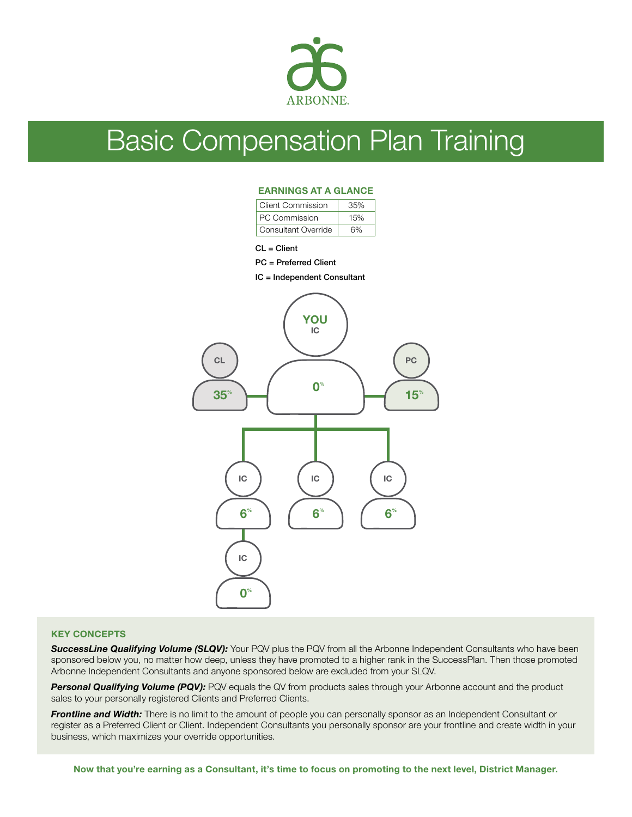

# Basic Compensation Plan Training

## EARNINGS AT A GLANCE

| Client Commission   | 35% |  |  |  |
|---------------------|-----|--|--|--|
| PC Commission       | 15% |  |  |  |
| Consultant Override | 6%  |  |  |  |

CL = Client

#### PC = Preferred Client

IC = Independent Consultant



### KEY CONCEPTS

**SuccessLine Qualifying Volume (SLQV):** Your PQV plus the PQV from all the Arbonne Independent Consultants who have been sponsored below you, no matter how deep, unless they have promoted to a higher rank in the SuccessPlan. Then those promoted Arbonne Independent Consultants and anyone sponsored below are excluded from your SLQV.

**Personal Qualifying Volume (PQV):** PQV equals the QV from products sales through your Arbonne account and the product sales to your personally registered Clients and Preferred Clients.

**Frontline and Width:** There is no limit to the amount of people you can personally sponsor as an Independent Consultant or register as a Preferred Client or Client. Independent Consultants you personally sponsor are your frontline and create width in your business, which maximizes your override opportunities.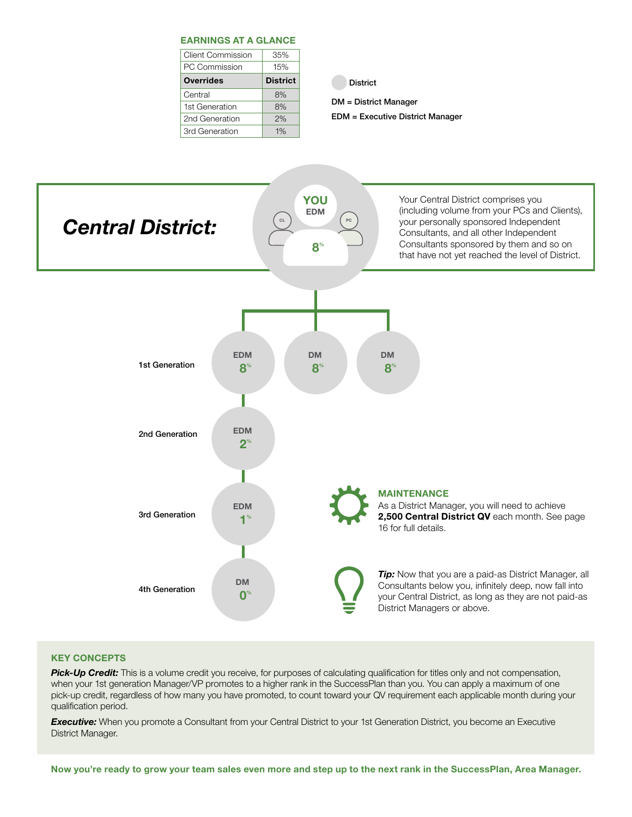| <b>EARNINGS AT A GLANCE</b> |                 |  |  |  |  |  |
|-----------------------------|-----------------|--|--|--|--|--|
| <b>Client Commission</b>    | 35%             |  |  |  |  |  |
| PC Commission               | 15%             |  |  |  |  |  |
| <b>Overrides</b>            | <b>District</b> |  |  |  |  |  |
| Central                     | 8%              |  |  |  |  |  |
|                             |                 |  |  |  |  |  |
| 1st Generation              | 8%              |  |  |  |  |  |
| 2nd Generation              | 2%              |  |  |  |  |  |

District

DM = District Manager

EDM = Executive District Manager



# KEY CONCEPTS

**Pick-Up Credit:** This is a volume credit you receive, for purposes of calculating qualification for titles only and not compensation, when your 1st generation Manager/VP promotes to a higher rank in the SuccessPlan than you. You can apply a maximum of one pick-up credit, regardless of how many you have promoted, to count toward your QV requirement each applicable month during your qualification period.

**Executive:** When you promote a Consultant from your Central District to your 1st Generation District, you become an Executive District Manager.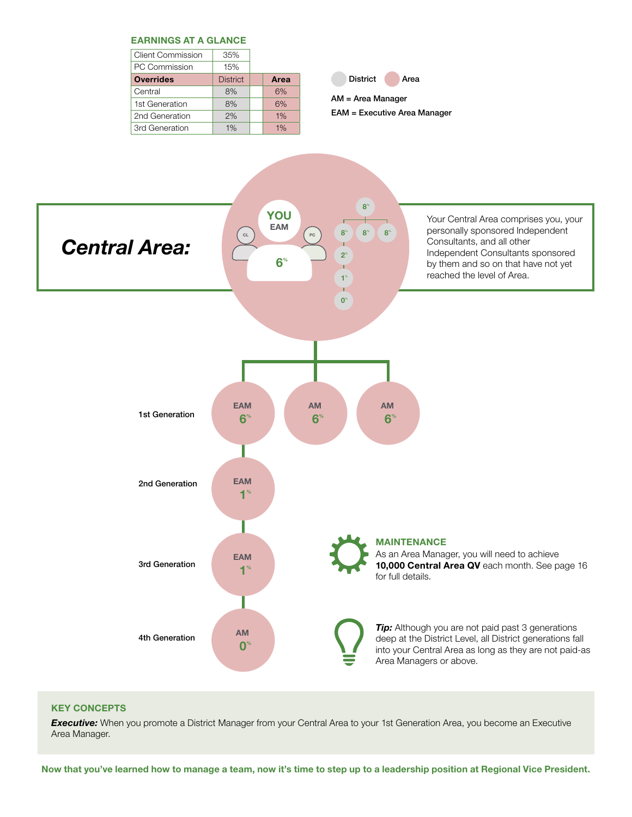

# KEY CONCEPTS

**Executive:** When you promote a District Manager from your Central Area to your 1st Generation Area, you become an Executive Area Manager.

Now that you've learned how to manage a team, now it's time to step up to a leadership position at Regional Vice President.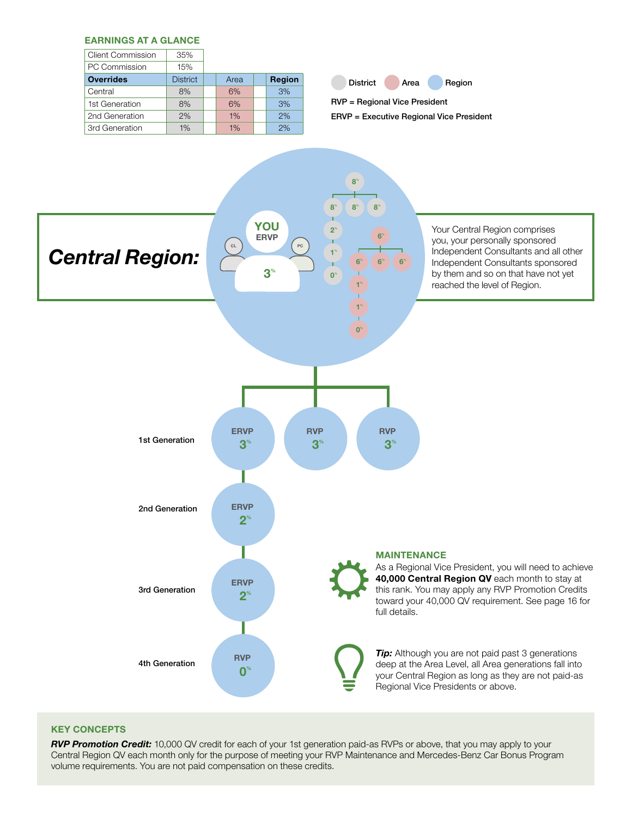

## KEY CONCEPTS

*RVP Promotion Credit:* 10,000 QV credit for each of your 1st generation paid-as RVPs or above, that you may apply to your Central Region QV each month only for the purpose of meeting your RVP Maintenance and Mercedes-Benz Car Bonus Program volume requirements. You are not paid compensation on these credits.